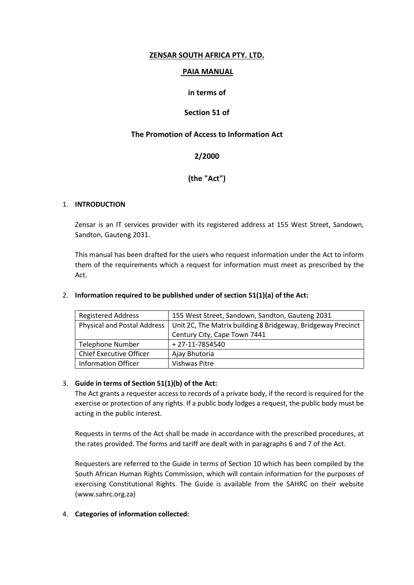## **ZENSAR SOUTH AFRICA PTY. LTD.**

## **PAIA MANUAL**

## **in terms of**

## **Section 51 of**

## **The Promotion of Access to Information Act**

# **2/2000**

# **(the "Act")**

### 1. **INTRODUCTION**

Zensar is an IT services provider with its registered address at 155 West Street, Sandown, Sandton, Gauteng 2031.

This manual has been drafted for the users who request information under the Act to inform them of the requirements which a request for information must meet as prescribed by the Act.

| <b>Registered Address</b>          | 155 West Street, Sandown, Sandton, Gauteng 2031              |
|------------------------------------|--------------------------------------------------------------|
| <b>Physical and Postal Address</b> | Unit 2C, The Matrix building 8 Bridgeway, Bridgeway Precinct |
|                                    | Century City, Cape Town 7441                                 |
| Telephone Number                   | +27-11-7854540                                               |
| <b>Chief Executive Officer</b>     | Ajay Bhutoria                                                |
| <b>Information Officer</b>         | Vishwas Pitre                                                |

### 2. **Information required to be published under of section 51(1)(a) of the Act:**

### 3. **Guide in terms of Section 51(1)(b) of the Act:**

The Act grants a requester access to records of a private body, if the record is required for the exercise or protection of any rights. If a public body lodges a request, the public body must be acting in the public interest.

Requests in terms of the Act shall be made in accordance with the prescribed procedures, at the rates provided. The forms and tariff are dealt with in paragraphs 6 and 7 of the Act.

Requesters are referred to the Guide in terms of Section 10 which has been compiled by the South African Human Rights Commission, which will contain information for the purposes of exercising Constitutional Rights. The Guide is available from the SAHRC on their website (www.sahrc.org.za)

## 4. **Categories of information collected:**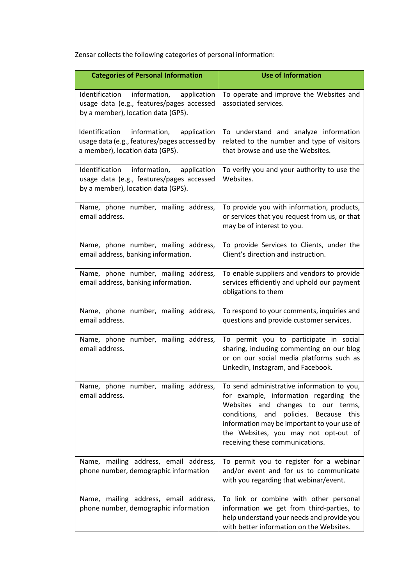Zensar collects the following categories of personal information:

| <b>Categories of Personal Information</b>                                                                                        | <b>Use of Information</b>                                                                                                                                                                                                                                                                         |
|----------------------------------------------------------------------------------------------------------------------------------|---------------------------------------------------------------------------------------------------------------------------------------------------------------------------------------------------------------------------------------------------------------------------------------------------|
| Identification<br>information,<br>application<br>usage data (e.g., features/pages accessed<br>by a member), location data (GPS). | To operate and improve the Websites and<br>associated services.                                                                                                                                                                                                                                   |
| information, application<br>Identification<br>usage data (e.g., features/pages accessed by<br>a member), location data (GPS).    | To understand and analyze information<br>related to the number and type of visitors<br>that browse and use the Websites.                                                                                                                                                                          |
| Identification<br>information,<br>application<br>usage data (e.g., features/pages accessed<br>by a member), location data (GPS). | To verify you and your authority to use the<br>Websites.                                                                                                                                                                                                                                          |
| Name, phone number, mailing address,<br>email address.                                                                           | To provide you with information, products,<br>or services that you request from us, or that<br>may be of interest to you.                                                                                                                                                                         |
| Name, phone number, mailing address,<br>email address, banking information.                                                      | To provide Services to Clients, under the<br>Client's direction and instruction.                                                                                                                                                                                                                  |
| Name, phone number, mailing address,<br>email address, banking information.                                                      | To enable suppliers and vendors to provide<br>services efficiently and uphold our payment<br>obligations to them                                                                                                                                                                                  |
| Name, phone number, mailing address,<br>email address.                                                                           | To respond to your comments, inquiries and<br>questions and provide customer services.                                                                                                                                                                                                            |
| Name, phone number, mailing address,<br>email address.                                                                           | To permit you to participate in social<br>sharing, including commenting on our blog<br>or on our social media platforms such as<br>LinkedIn, Instagram, and Facebook.                                                                                                                             |
| Name, phone number, mailing address,<br>email address.                                                                           | To send administrative information to you,<br>for example, information regarding the<br>Websites and changes to our terms,<br>conditions, and policies. Because<br>this<br>information may be important to your use of<br>the Websites, you may not opt-out of<br>receiving these communications. |
| Name, mailing address, email address,<br>phone number, demographic information                                                   | To permit you to register for a webinar<br>and/or event and for us to communicate<br>with you regarding that webinar/event.                                                                                                                                                                       |
| Name, mailing address, email address,<br>phone number, demographic information                                                   | To link or combine with other personal<br>information we get from third-parties, to<br>help understand your needs and provide you<br>with better information on the Websites.                                                                                                                     |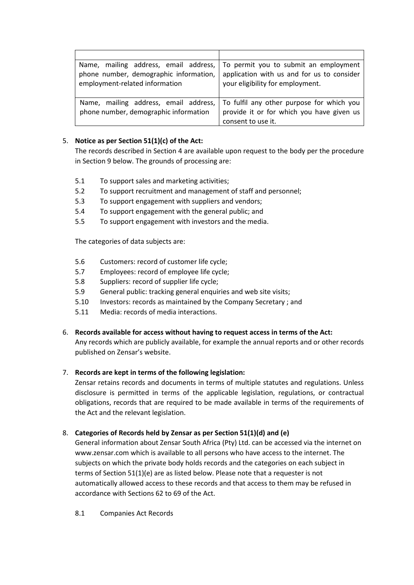| phone number, demographic information,<br>employment-related information       | Name, mailing address, email address,   To permit you to submit an employment<br>application with us and for us to consider<br>your eligibility for employment. |
|--------------------------------------------------------------------------------|-----------------------------------------------------------------------------------------------------------------------------------------------------------------|
| Name, mailing address, email address,<br>phone number, demographic information | To fulfil any other purpose for which you<br>provide it or for which you have given us<br>consent to use it.                                                    |

## 5. **Notice as per Section 51(1)(c) of the Act:**

The records described in Section 4 are available upon request to the body per the procedure in Section 9 below. The grounds of processing are:

- 5.1 To support sales and marketing activities;
- 5.2 To support recruitment and management of staff and personnel;
- 5.3 To support engagement with suppliers and vendors;
- 5.4 To support engagement with the general public; and
- 5.5 To support engagement with investors and the media.

The categories of data subjects are:

- 5.6 Customers: record of customer life cycle;
- 5.7 Employees: record of employee life cycle;
- 5.8 Suppliers: record of supplier life cycle;
- 5.9 General public: tracking general enquiries and web site visits;
- 5.10 Investors: records as maintained by the Company Secretary ; and
- 5.11 Media: records of media interactions.

## 6. **Records available for access without having to request access in terms of the Act:**

Any records which are publicly available, for example the annual reports and or other records published on Zensar's website.

## 7. **Records are kept in terms of the following legislation:**

Zensar retains records and documents in terms of multiple statutes and regulations. Unless disclosure is permitted in terms of the applicable legislation, regulations, or contractual obligations, records that are required to be made available in terms of the requirements of the Act and the relevant legislation.

## 8. **Categories of Records held by Zensar as per Section 51(1)(d) and (e)**

General information about Zensar South Africa (Pty) Ltd. can be accessed via the internet on www.zensar.com which is available to all persons who have access to the internet. The subjects on which the private body holds records and the categories on each subject in terms of Section 51(1)(e) are as listed below. Please note that a requester is not automatically allowed access to these records and that access to them may be refused in accordance with Sections 62 to 69 of the Act.

8.1 Companies Act Records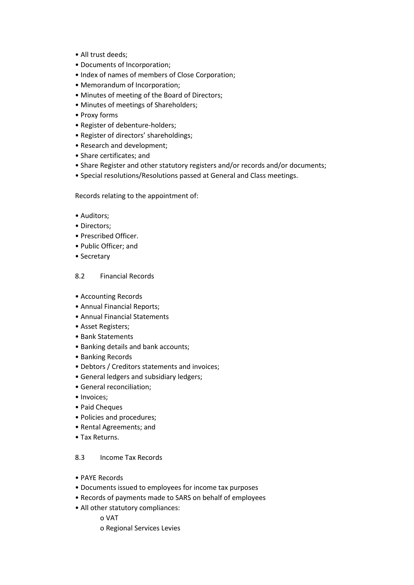- All trust deeds;
- Documents of Incorporation;
- Index of names of members of Close Corporation;
- Memorandum of Incorporation;
- Minutes of meeting of the Board of Directors;
- Minutes of meetings of Shareholders;
- Proxy forms
- Register of debenture-holders;
- Register of directors' shareholdings;
- Research and development;
- Share certificates; and
- Share Register and other statutory registers and/or records and/or documents;
- Special resolutions/Resolutions passed at General and Class meetings.

Records relating to the appointment of:

- Auditors;
- Directors;
- Prescribed Officer.
- Public Officer; and
- Secretary

### 8.2 Financial Records

- Accounting Records
- Annual Financial Reports;
- Annual Financial Statements
- Asset Registers;
- Bank Statements
- Banking details and bank accounts;
- Banking Records
- Debtors / Creditors statements and invoices;
- General ledgers and subsidiary ledgers;
- General reconciliation;
- Invoices;
- Paid Cheques
- Policies and procedures;
- Rental Agreements; and
- Tax Returns.

### 8.3 Income Tax Records

- PAYE Records
- Documents issued to employees for income tax purposes
- Records of payments made to SARS on behalf of employees
- All other statutory compliances:
	- o VAT
	- o Regional Services Levies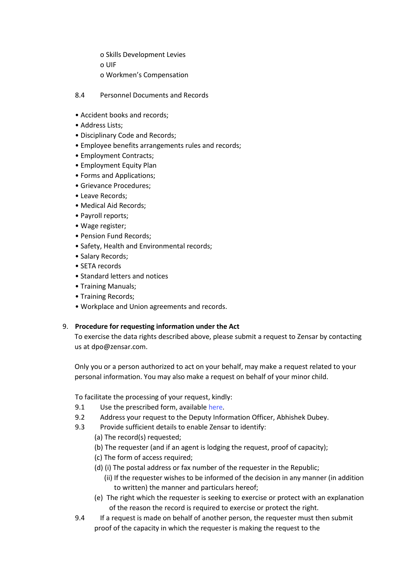o Skills Development Levies o UIF

- o Workmen's Compensation
- 8.4 Personnel Documents and Records
- Accident books and records;
- Address Lists;
- Disciplinary Code and Records;
- Employee benefits arrangements rules and records;
- Employment Contracts;
- Employment Equity Plan
- Forms and Applications;
- Grievance Procedures;
- Leave Records;
- Medical Aid Records;
- Payroll reports;
- Wage register;
- Pension Fund Records;
- Safety, Health and Environmental records;
- Salary Records;
- SETA records
- Standard letters and notices
- Training Manuals;
- Training Records;
- Workplace and Union agreements and records.

### 9. **Procedure for requesting information under the Act**

To exercise the data rights described above, please submit a request to Zensar by contacting us at [dpo@zensar.com.](mailto:dpo@zensar.com)

Only you or a person authorized to act on your behalf, may make a request related to your personal information. You may also make a request on behalf of your minor child.

To facilitate the processing of your request, kindly:

- 9.1 Use the prescribed form, available [here](https://www.zensar.com/sites/default/files/legal/Zensar_SA_PTY_PAIA_Form_C.pdf).
- 9.2 Address your request to the Deputy Information Officer, Abhishek Dubey.
- 9.3 Provide sufficient details to enable Zensar to identify:
	- (a) The record(s) requested;
	- (b) The requester (and if an agent is lodging the request, proof of capacity);
	- (c) The form of access required;
	- (d) (i) The postal address or fax number of the requester in the Republic;
		- (ii) If the requester wishes to be informed of the decision in any manner (in addition to written) the manner and particulars hereof;
	- (e) The right which the requester is seeking to exercise or protect with an explanation of the reason the record is required to exercise or protect the right.
- 9.4 If a request is made on behalf of another person, the requester must then submit proof of the capacity in which the requester is making the request to the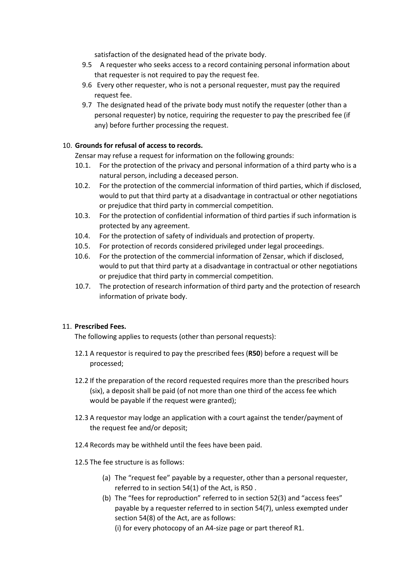satisfaction of the designated head of the private body.

- 9.5 A requester who seeks access to a record containing personal information about that requester is not required to pay the request fee.
- 9.6 Every other requester, who is not a personal requester, must pay the required request fee.
- 9.7 The designated head of the private body must notify the requester (other than a personal requester) by notice, requiring the requester to pay the prescribed fee (if any) before further processing the request.

### 10. **Grounds for refusal of access to records.**

Zensar may refuse a request for information on the following grounds:

- 10.1. For the protection of the privacy and personal information of a third party who is a natural person, including a deceased person.
- 10.2. For the protection of the commercial information of third parties, which if disclosed, would to put that third party at a disadvantage in contractual or other negotiations or prejudice that third party in commercial competition.
- 10.3. For the protection of confidential information of third parties if such information is protected by any agreement.
- 10.4. For the protection of safety of individuals and protection of property.
- 10.5. For protection of records considered privileged under legal proceedings.
- 10.6. For the protection of the commercial information of Zensar, which if disclosed, would to put that third party at a disadvantage in contractual or other negotiations or prejudice that third party in commercial competition.
- 10.7. The protection of research information of third party and the protection of research information of private body.

### 11. **Prescribed Fees.**

The following applies to requests (other than personal requests):

- 12.1 A requestor is required to pay the prescribed fees (**R50**) before a request will be processed;
- 12.2 If the preparation of the record requested requires more than the prescribed hours (six), a deposit shall be paid (of not more than one third of the access fee which would be payable if the request were granted);
- 12.3 A requestor may lodge an application with a court against the tender/payment of the request fee and/or deposit;
- 12.4 Records may be withheld until the fees have been paid.
- 12.5 The fee structure is as follows:
	- (a) The "request fee" payable by a requester, other than a personal requester, referred to in section 54(1) of the Act, is R50 .
	- (b) The "fees for reproduction" referred to in section 52(3) and "access fees" payable by a requester referred to in section 54(7), unless exempted under section 54(8) of the Act, are as follows:

(i) for every photocopy of an A4-size page or part thereof R1.